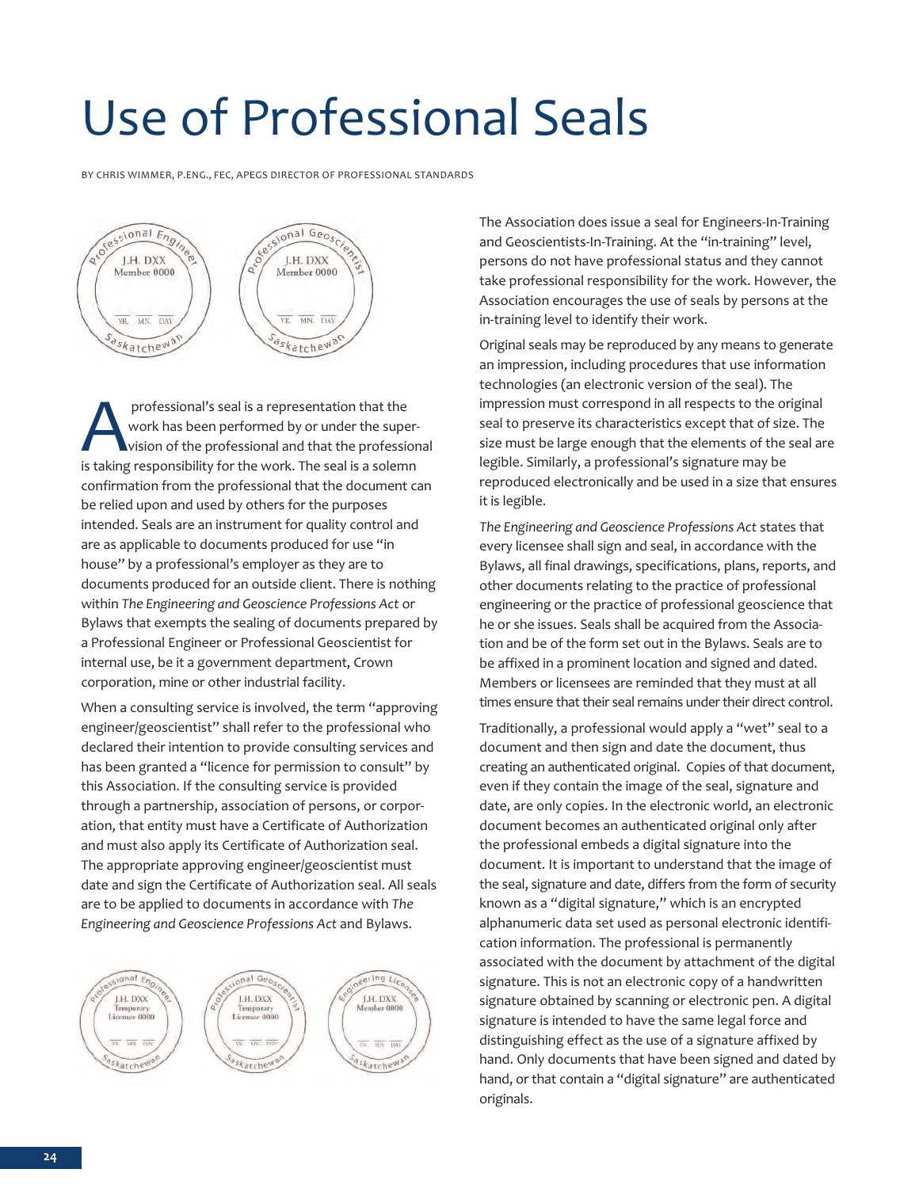## Use of Professional Seals

bY CHRIS WIMMER, P.ENG., FEC, APEGS DIRECTOR OF PROFESSIONAL STANDARDS



professional's seal is a representation that the<br>work has been performed by or under the super<br>is taking responsibility for the work. The seal is a solem work has been performed by or under the supervision of the professional and that the professional is taking responsibility for the work. The seal is a solemn confirmation from the professional that the document can be relied upon and used by others for the purposes intended. Seals are an instrument for quality control and are as applicable to documents produced for use "in house" by a professional's employer as they are to documents produced for an outside client. There is nothing within *The Engineering and Geoscience Professions Act* or bylaws that exempts the sealing of documents prepared by a Professional Engineer or Professional Geoscientist for internal use, be it a government department, Crown corporation, mine or other industrial facility.

When a consulting service is involved, the term "approving engineer/geoscientist" shall refer to the professional who declared their intention to provide consulting services and has been granted a "licence for permission to consult" by this Association. If the consulting service is provided through a partnership, association of persons, or corporation, that entity must have a Certificate of Authorization and must also apply its Certificate of Authorization seal. The appropriate approving engineer/geoscientist must date and sign the Certificate of Authorization seal. All seals are to be applied to documents in accordance with *The Engineering and Geoscience Professions Act* and bylaws.



The Association does issue a seal for Engineers-In-Training and Geoscientists-In-Training. At the "in-training" level, persons do not have professional status and they cannot take professional responsibility for the work. However, the Association encourages the use of seals by persons at the in-training level to identify their work.

Original seals may be reproduced by any means to generate an impression, including procedures that use information technologies (an electronic version of the seal). The impression must correspond in all respects to the original seal to preserve its characteristics except that of size. The size must be large enough that the elements of the seal are legible. Similarly, a professional's signature may be reproduced electronically and be used in a size that ensures it is legible.

*The Engineering and Geoscience Professions Act* states that every licensee shall sign and seal, in accordance with the bylaws, all final drawings, specifications, plans, reports, and other documents relating to the practice of professional engineering or the practice of professional geoscience that he or she issues. Seals shall be acquired from the Association and be of the form set out in the bylaws. Seals are to be affixed in a prominent location and signed and dated. Members or licensees are reminded that they must at all times ensure that their seal remains under their direct control.

Traditionally, a professional would apply a "wet" seal to a document and then sign and date the document, thus creating an authenticated original. Copies of that document, even if they contain the image of the seal, signature and date, are only copies. In the electronic world, an electronic document becomes an authenticated original only after the professional embeds a digital signature into the document. It is important to understand that the image of the seal, signature and date, differs from the form of security known as a "digital signature," which is an encrypted alphanumeric data set used as personal electronic identification information. The professional is permanently associated with the document by attachment of the digital signature. This is not an electronic copy of a handwritten signature obtained by scanning or electronic pen. A digital signature is intended to have the same legal force and distinguishing effect as the use of a signature affixed by hand. Only documents that have been signed and dated by hand, or that contain a "digital signature" are authenticated originals.